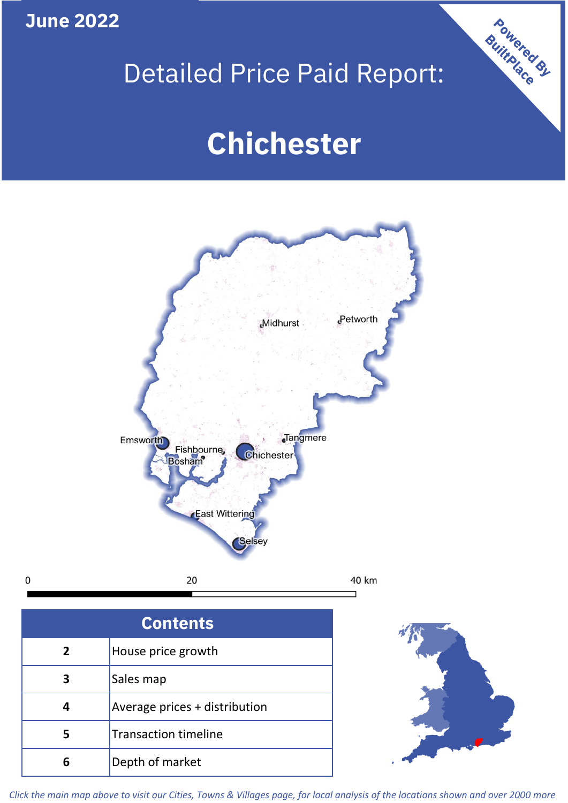**June 2022**

 $\mathbf 0$ 

## Detailed Price Paid Report:

# **Chichester**



| <b>Contents</b> |                               |  |  |
|-----------------|-------------------------------|--|--|
| $\mathbf{2}$    | House price growth            |  |  |
|                 | Sales map                     |  |  |
|                 | Average prices + distribution |  |  |
|                 | <b>Transaction timeline</b>   |  |  |
|                 | Depth of market               |  |  |



Powered By

*Click the main map above to visit our Cities, Towns & Villages page, for local analysis of the locations shown and over 2000 more*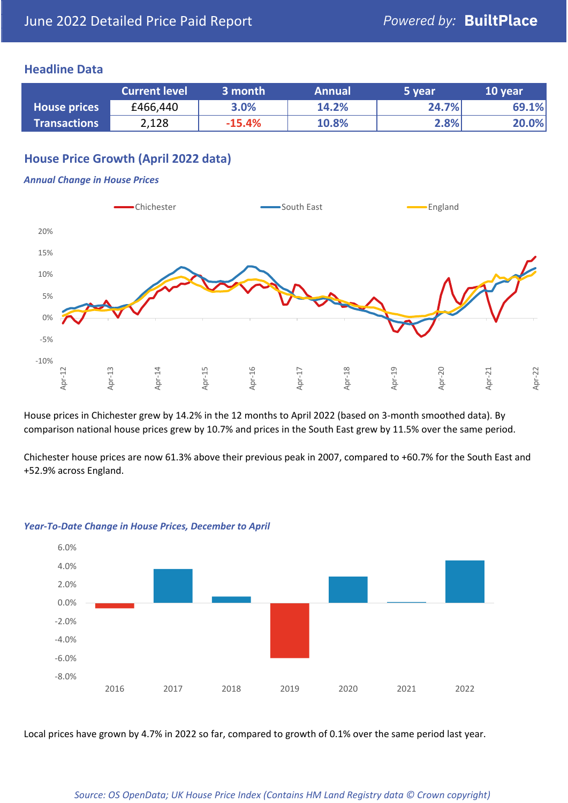#### **Headline Data**

|                     | <b>Current level</b> | 3 month  | <b>Annual</b> | 5 year | 10 year |
|---------------------|----------------------|----------|---------------|--------|---------|
| <b>House prices</b> | £466,440             | 3.0%     | 14.2%         | 24.7%  | 69.1%   |
| <b>Transactions</b> | 2,128                | $-15.4%$ | 10.8%         | 2.8%   | 20.0%   |

### **House Price Growth (April 2022 data)**

#### *Annual Change in House Prices*



House prices in Chichester grew by 14.2% in the 12 months to April 2022 (based on 3-month smoothed data). By comparison national house prices grew by 10.7% and prices in the South East grew by 11.5% over the same period.

Chichester house prices are now 61.3% above their previous peak in 2007, compared to +60.7% for the South East and +52.9% across England.



#### *Year-To-Date Change in House Prices, December to April*

Local prices have grown by 4.7% in 2022 so far, compared to growth of 0.1% over the same period last year.

#### *Source: OS OpenData; UK House Price Index (Contains HM Land Registry data © Crown copyright)*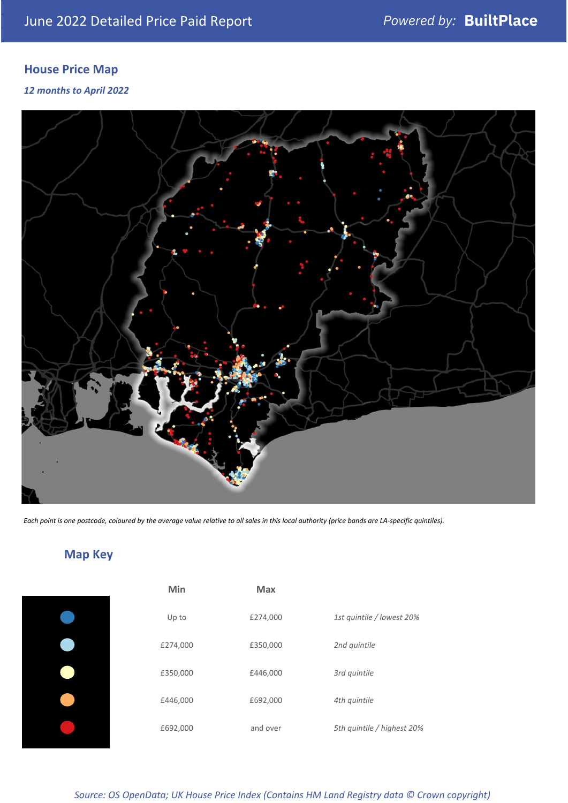## **House Price Map**

#### *12 months to April 2022*



*Each point is one postcode, coloured by the average value relative to all sales in this local authority (price bands are LA-specific quintiles).*

**Map Key**

| Min      | <b>Max</b> |                            |
|----------|------------|----------------------------|
| Up to    | £274,000   | 1st quintile / lowest 20%  |
| £274,000 | £350,000   | 2nd quintile               |
| £350,000 | £446,000   | 3rd quintile               |
| £446,000 | £692,000   | 4th quintile               |
| £692,000 | and over   | 5th quintile / highest 20% |

#### *Source: OS OpenData; UK House Price Index (Contains HM Land Registry data © Crown copyright)*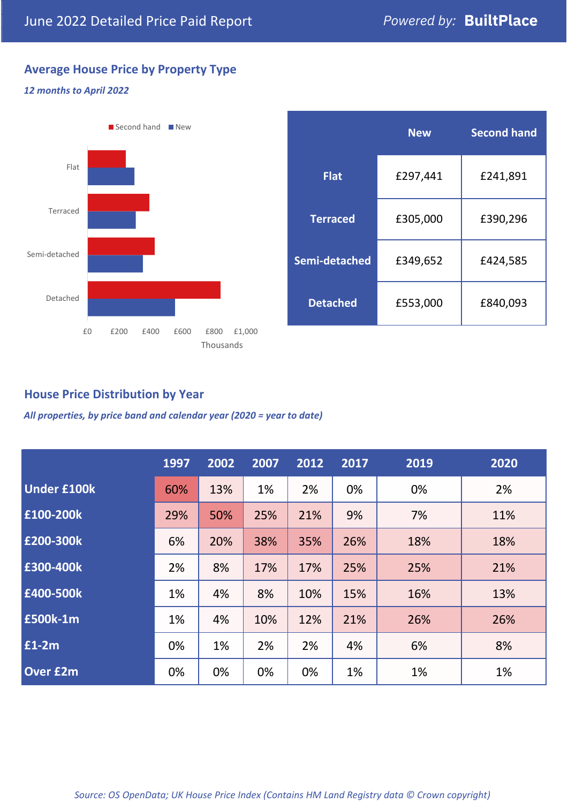### **Average House Price by Property Type**

#### *12 months to April 2022*



|                 | <b>New</b> | <b>Second hand</b> |  |  |
|-----------------|------------|--------------------|--|--|
| <b>Flat</b>     | £297,441   | £241,891           |  |  |
| <b>Terraced</b> | £305,000   | £390,296           |  |  |
| Semi-detached   | £349,652   | £424,585           |  |  |
| <b>Detached</b> | £553,000   | £840,093           |  |  |

#### **House Price Distribution by Year**

*All properties, by price band and calendar year (2020 = year to date)*

|                    | 1997 | 2002 | 2007 | 2012 | 2017 | 2019 | 2020 |
|--------------------|------|------|------|------|------|------|------|
| <b>Under £100k</b> | 60%  | 13%  | 1%   | 2%   | 0%   | 0%   | 2%   |
| £100-200k          | 29%  | 50%  | 25%  | 21%  | 9%   | 7%   | 11%  |
| E200-300k          | 6%   | 20%  | 38%  | 35%  | 26%  | 18%  | 18%  |
| £300-400k          | 2%   | 8%   | 17%  | 17%  | 25%  | 25%  | 21%  |
| £400-500k          | 1%   | 4%   | 8%   | 10%  | 15%  | 16%  | 13%  |
| £500k-1m           | 1%   | 4%   | 10%  | 12%  | 21%  | 26%  | 26%  |
| £1-2m              | 0%   | 1%   | 2%   | 2%   | 4%   | 6%   | 8%   |
| <b>Over £2m</b>    | 0%   | 0%   | 0%   | 0%   | 1%   | 1%   | 1%   |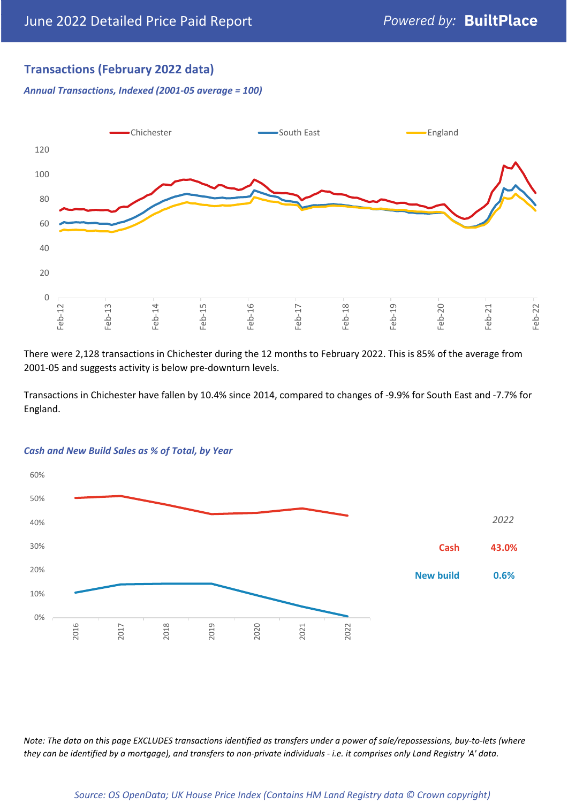#### **Transactions (February 2022 data)**

*Annual Transactions, Indexed (2001-05 average = 100)*



There were 2,128 transactions in Chichester during the 12 months to February 2022. This is 85% of the average from 2001-05 and suggests activity is below pre-downturn levels.

Transactions in Chichester have fallen by 10.4% since 2014, compared to changes of -9.9% for South East and -7.7% for England.



#### *Cash and New Build Sales as % of Total, by Year*

*Note: The data on this page EXCLUDES transactions identified as transfers under a power of sale/repossessions, buy-to-lets (where they can be identified by a mortgage), and transfers to non-private individuals - i.e. it comprises only Land Registry 'A' data.*